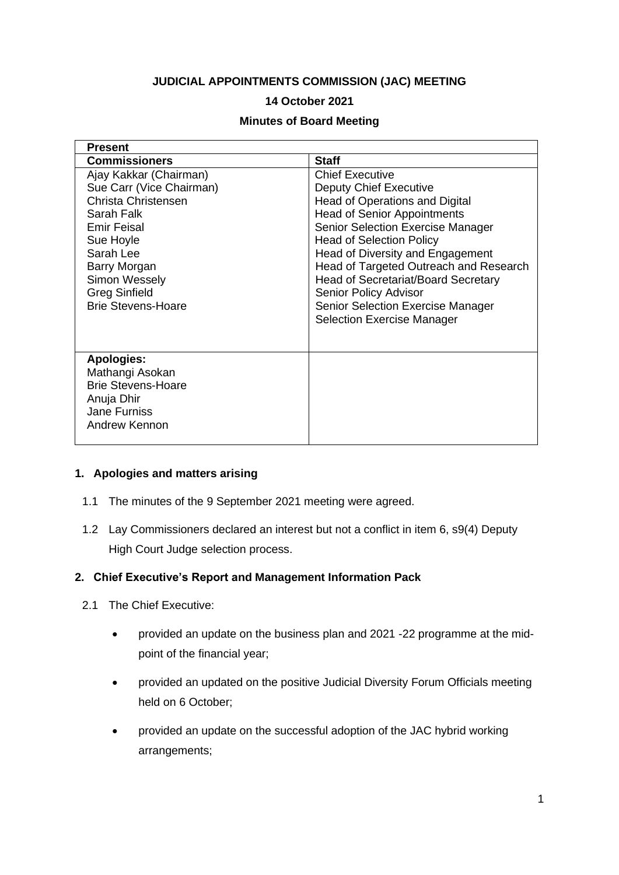#### **JUDICIAL APPOINTMENTS COMMISSION (JAC) MEETING**

### **14 October 2021**

#### **Minutes of Board Meeting**

| <b>Present</b>                                                                                                                                                                                                                |                                                                                                                                                                                                                                                                                                                                                                                                                                                             |
|-------------------------------------------------------------------------------------------------------------------------------------------------------------------------------------------------------------------------------|-------------------------------------------------------------------------------------------------------------------------------------------------------------------------------------------------------------------------------------------------------------------------------------------------------------------------------------------------------------------------------------------------------------------------------------------------------------|
| <b>Commissioners</b>                                                                                                                                                                                                          | <b>Staff</b>                                                                                                                                                                                                                                                                                                                                                                                                                                                |
| Ajay Kakkar (Chairman)<br>Sue Carr (Vice Chairman)<br>Christa Christensen<br>Sarah Falk<br>Emir Feisal<br>Sue Hoyle<br>Sarah Lee<br>Barry Morgan<br><b>Simon Wessely</b><br><b>Greg Sinfield</b><br><b>Brie Stevens-Hoare</b> | <b>Chief Executive</b><br><b>Deputy Chief Executive</b><br><b>Head of Operations and Digital</b><br><b>Head of Senior Appointments</b><br><b>Senior Selection Exercise Manager</b><br><b>Head of Selection Policy</b><br>Head of Diversity and Engagement<br>Head of Targeted Outreach and Research<br>Head of Secretariat/Board Secretary<br><b>Senior Policy Advisor</b><br><b>Senior Selection Exercise Manager</b><br><b>Selection Exercise Manager</b> |
| <b>Apologies:</b><br>Mathangi Asokan<br><b>Brie Stevens-Hoare</b><br>Anuja Dhir<br><b>Jane Furniss</b><br>Andrew Kennon                                                                                                       |                                                                                                                                                                                                                                                                                                                                                                                                                                                             |

#### **1. Apologies and matters arising**

- 1.1 The minutes of the 9 September 2021 meeting were agreed.
- 1.2 Lay Commissioners declared an interest but not a conflict in item 6, s9(4) Deputy High Court Judge selection process.

#### **2. Chief Executive's Report and Management Information Pack**

- 2.1 The Chief Executive:
	- provided an update on the business plan and 2021 -22 programme at the midpoint of the financial year;
	- provided an updated on the positive Judicial Diversity Forum Officials meeting held on 6 October;
	- provided an update on the successful adoption of the JAC hybrid working arrangements;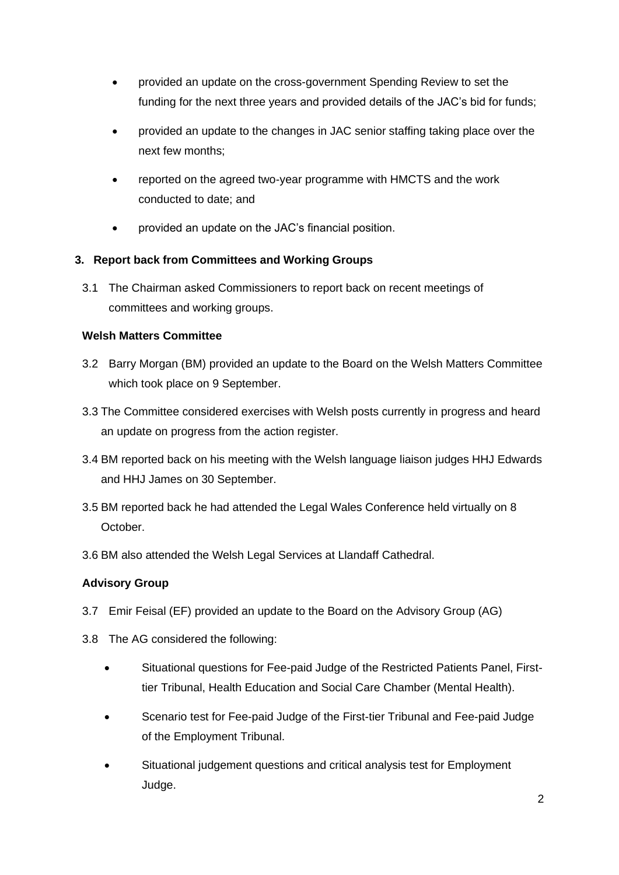- provided an update on the cross-government Spending Review to set the funding for the next three years and provided details of the JAC's bid for funds;
- provided an update to the changes in JAC senior staffing taking place over the next few months;
- reported on the agreed two-year programme with HMCTS and the work conducted to date; and
- provided an update on the JAC's financial position.

## **3. Report back from Committees and Working Groups**

3.1 The Chairman asked Commissioners to report back on recent meetings of committees and working groups.

## **Welsh Matters Committee**

- 3.2 Barry Morgan (BM) provided an update to the Board on the Welsh Matters Committee which took place on 9 September.
- 3.3 The Committee considered exercises with Welsh posts currently in progress and heard an update on progress from the action register.
- 3.4 BM reported back on his meeting with the Welsh language liaison judges HHJ Edwards and HHJ James on 30 September.
- 3.5 BM reported back he had attended the Legal Wales Conference held virtually on 8 October.
- 3.6 BM also attended the Welsh Legal Services at Llandaff Cathedral.

# **Advisory Group**

- 3.7 Emir Feisal (EF) provided an update to the Board on the Advisory Group (AG)
- 3.8 The AG considered the following:
	- Situational questions for Fee-paid Judge of the Restricted Patients Panel, Firsttier Tribunal, Health Education and Social Care Chamber (Mental Health).
	- Scenario test for Fee-paid Judge of the First-tier Tribunal and Fee-paid Judge of the Employment Tribunal.
	- Situational judgement questions and critical analysis test for Employment Judge.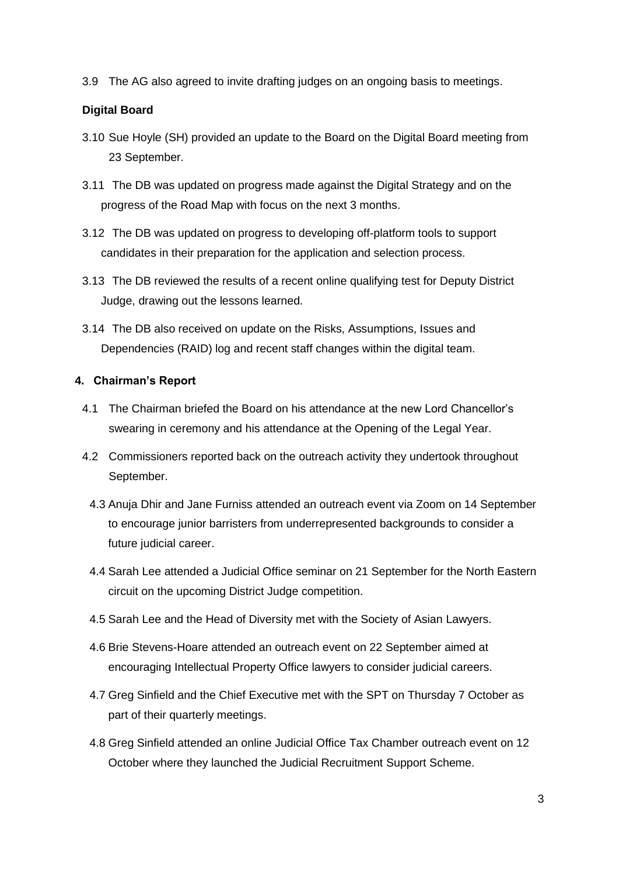3.9 The AG also agreed to invite drafting judges on an ongoing basis to meetings.

## **Digital Board**

- 3.10 Sue Hoyle (SH) provided an update to the Board on the Digital Board meeting from 23 September.
- 3.11 The DB was updated on progress made against the Digital Strategy and on the progress of the Road Map with focus on the next 3 months.
- 3.12 The DB was updated on progress to developing off-platform tools to support candidates in their preparation for the application and selection process.
- 3.13 The DB reviewed the results of a recent online qualifying test for Deputy District Judge, drawing out the lessons learned.
- 3.14 The DB also received on update on the Risks, Assumptions, Issues and Dependencies (RAID) log and recent staff changes within the digital team.

## **4. Chairman's Report**

- 4.1 The Chairman briefed the Board on his attendance at the new Lord Chancellor's swearing in ceremony and his attendance at the Opening of the Legal Year.
- 4.2 Commissioners reported back on the outreach activity they undertook throughout September.
	- 4.3 Anuja Dhir and Jane Furniss attended an outreach event via Zoom on 14 September to encourage junior barristers from underrepresented backgrounds to consider a future judicial career.
	- 4.4 Sarah Lee attended a Judicial Office seminar on 21 September for the North Eastern circuit on the upcoming District Judge competition.
	- 4.5 Sarah Lee and the Head of Diversity met with the Society of Asian Lawyers.
	- 4.6 Brie Stevens-Hoare attended an outreach event on 22 September aimed at encouraging Intellectual Property Office lawyers to consider judicial careers.
	- 4.7 Greg Sinfield and the Chief Executive met with the SPT on Thursday 7 October as part of their quarterly meetings.
	- 4.8 Greg Sinfield attended an online Judicial Office Tax Chamber outreach event on 12 October where they launched the Judicial Recruitment Support Scheme.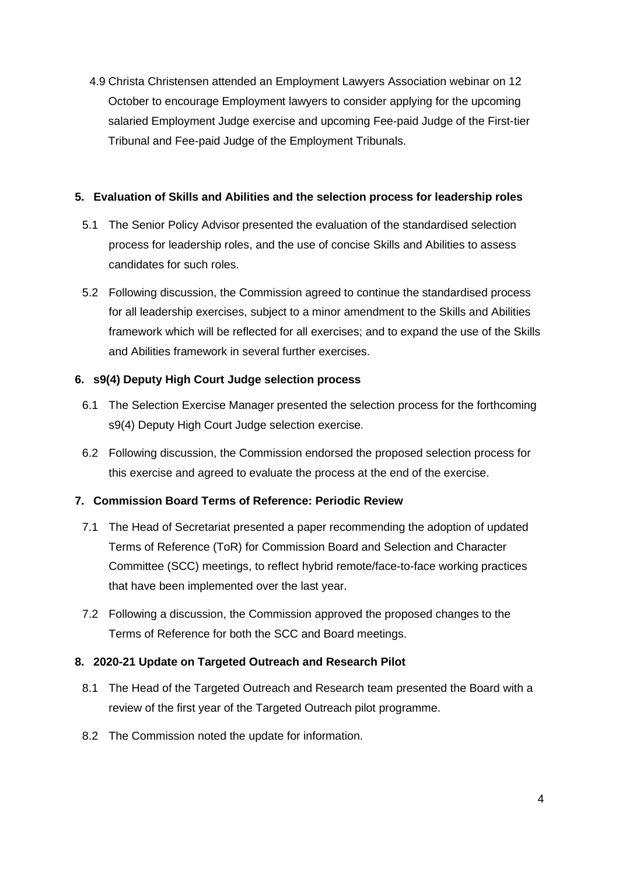4.9 Christa Christensen attended an Employment Lawyers Association webinar on 12 October to encourage Employment lawyers to consider applying for the upcoming salaried Employment Judge exercise and upcoming Fee-paid Judge of the First-tier Tribunal and Fee-paid Judge of the Employment Tribunals.

#### **5. Evaluation of Skills and Abilities and the selection process for leadership roles**

- 5.1 The Senior Policy Advisor presented the evaluation of the standardised selection process for leadership roles, and the use of concise Skills and Abilities to assess candidates for such roles.
- 5.2 Following discussion, the Commission agreed to continue the standardised process for all leadership exercises, subject to a minor amendment to the Skills and Abilities framework which will be reflected for all exercises; and to expand the use of the Skills and Abilities framework in several further exercises.

## **6. s9(4) Deputy High Court Judge selection process**

- 6.1 The Selection Exercise Manager presented the selection process for the forthcoming s9(4) Deputy High Court Judge selection exercise.
- 6.2 Following discussion, the Commission endorsed the proposed selection process for this exercise and agreed to evaluate the process at the end of the exercise.

## **7. Commission Board Terms of Reference: Periodic Review**

- 7.1 The Head of Secretariat presented a paper recommending the adoption of updated Terms of Reference (ToR) for Commission Board and Selection and Character Committee (SCC) meetings, to reflect hybrid remote/face-to-face working practices that have been implemented over the last year.
- 7.2 Following a discussion, the Commission approved the proposed changes to the Terms of Reference for both the SCC and Board meetings.

#### **8. 2020-21 Update on Targeted Outreach and Research Pilot**

- 8.1 The Head of the Targeted Outreach and Research team presented the Board with a review of the first year of the Targeted Outreach pilot programme.
- 8.2 The Commission noted the update for information.